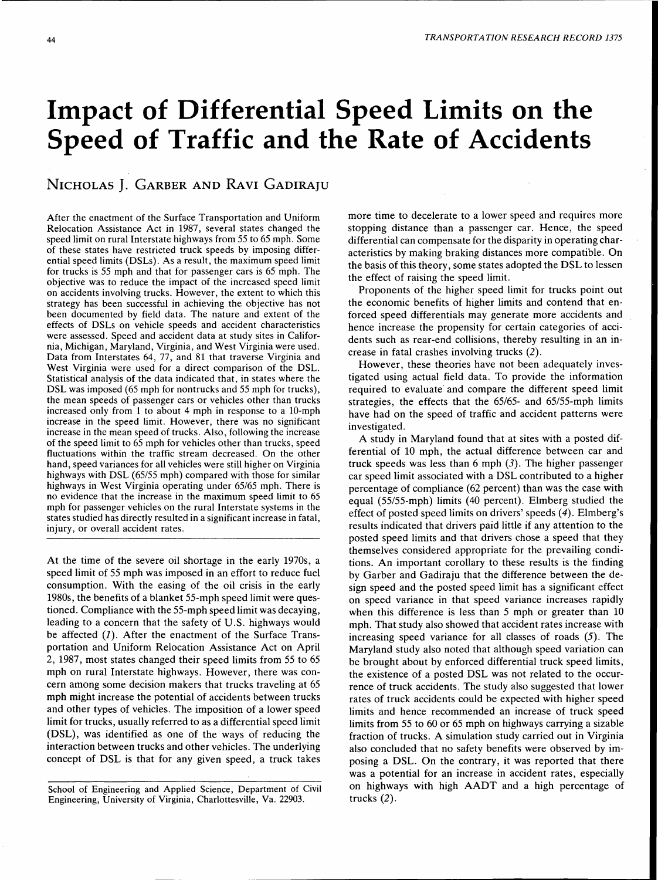# **Impact of Differential Speed Limits on the Speed of Traffic and the Rate of Accidents**

# NICHOLAS J. GARBER AND RAVI GADIRAJU

After the enactment of the Surface Transportation and Uniform Relocation Assistance Act in 1987, several states changed the speed limit on rural Interstate highways from 55 to 65 mph. Some of these states have restricted truck speeds by imposing differential speed limits (DSLs). As a result, the maximum speed limit for trucks is 55 mph and that for passenger cars is 65 mph. The objective was to reduce the impact of the increased speed limit on accidents involving trucks. However, the extent to which this strategy has been successful in achieving the objective has not been documented by field data. The nature and extent of the effects of DSLs on vehicle speeds and accident characteristics were assessed. Speed and accident data at study sites in California, Michigan, Maryland, Virginia, and West Virginia were used. Data from Interstates 64, 77, and 81 that traverse Virginia and West Virginia were used for a direct comparison of the DSL. Statistical analysis of the data indicated that, in states where the DSL was imposed (65 mph for nontrucks and 55 mph for trucks), the mean speeds of passenger cars or vehicles other than trucks increased only from 1 to about 4 mph in response to a 10-mph increase in the speed limit. However, there was no significant increase in the mean speed of trucks. Also, following the increase of the speed limit to 65 mph for vehicles other than trucks, speed fluctuations within the traffic stream decreased. On the other hand, speed variances for all vehicles were still higher on Virginia highways with DSL (65/55 mph) compared with those for similar highways in West Virginia operating under 65/65 mph. There is no evidence that the increase in the maximum speed limit to 65 mph for passenger vehicles on the rural Interstate systems in the states studied has directly resulted in a significant increase in fatal, injury, or overall accident rates.

At the time of the severe oil shortage in the early 1970s, a speed limit of 55 mph was imposed in an effort to reduce fuel consumption. With the easing of the oil crisis in the early 1980s, the benefits of a blanket 55-mph speed limit were questioned. Compliance with the 55-mph speed limit was decaying, leading to a concern that the safety of U.S. highways would be affected  $(I)$ . After the enactment of the Surface Transportation and Uniform Relocation Assistance Act on April 2, 1987, most states changed their speed limits from 55 to 65 mph on rural Interstate highways. However, there was concern among some decision makers that trucks traveling at 65 mph might increase the potential of accidents between trucks and other types of vehicles. The imposition of a lower speed limit for trucks, usually referred to as a differential speed limit (DSL), was identified as one of the ways of reducing the interaction between trucks and other vehicles. The underlying concept of DSL is that for any given speed, a truck takes more time to decelerate to a lower speed and requires more stopping distance than a passenger car. Hence, the speed differential can compensate for the disparity in operating characteristics by making braking distances more compatible. On the basis of this theory, some states adopted the DSL to lessen the effect of raising the speed limit.

Proponents of the higher speed limit for trucks point out the economic benefits of higher limits and contend that enforced speed differentials may generate more accidents and hence increase the propensity for certain categories of accidents such as rear-end collisions, thereby resulting in an increase in fatal crashes involving trucks (2).

However, these theories have not been adequately investigated using actual field data. To provide the information required to evaluate and compare the different speed limit strategies, the effects that the 65/65- and 65/55-mph limits have had on the speed of traffic and accident patterns were investigated.

A study in Maryland found that at sites with a posted differential of 10 mph, the actual difference between car and truck speeds was less than  $6$  mph  $(3)$ . The higher passenger car speed limit associated with a DSL contributed to a higher percentage of compliance (62 percent) than was the case with equal (55/55-mph) limits (40 percent). Elmberg studied the effect of posted speed limits on drivers' speeds (4). Elmberg's results indicated that drivers paid little if any attention to the posted speed limits and that drivers chose a speed that they themselves considered appropriate for the prevailing conditions. An important corollary to these results is the finding by Garber and Gadiraju that the difference between the design speed and the posted speed limit has a significant effect on speed variance in that speed variance increases rapidly when this difference is less than 5 mph or greater than 10 mph. That study also showed that accident rates increase with increasing speed variance for all classes of roads (5). The Maryland study also noted that although speed variation can be brought about by enforced differential truck speed limits, the existence of a posted DSL was not related to the occurrence of truck accidents. The study also suggested that lower rates of truck accidents could be expected with higher speed limits and hence recommended an increase of truck speed limits from 55 to 60 or 65 mph on highways carrying a sizable fraction of trucks. A simulation study carried out in Virginia also concluded that no safety benefits were observed by imposing a DSL. On the contrary, it was reported that there was a potential for an increase in accident rates, especially on highways with high AADT and a high percentage of trucks (2).

School of Engineering and Applied Science, Department of Civil Engineering, University of Virginia, Charlottesville, Va. 22903.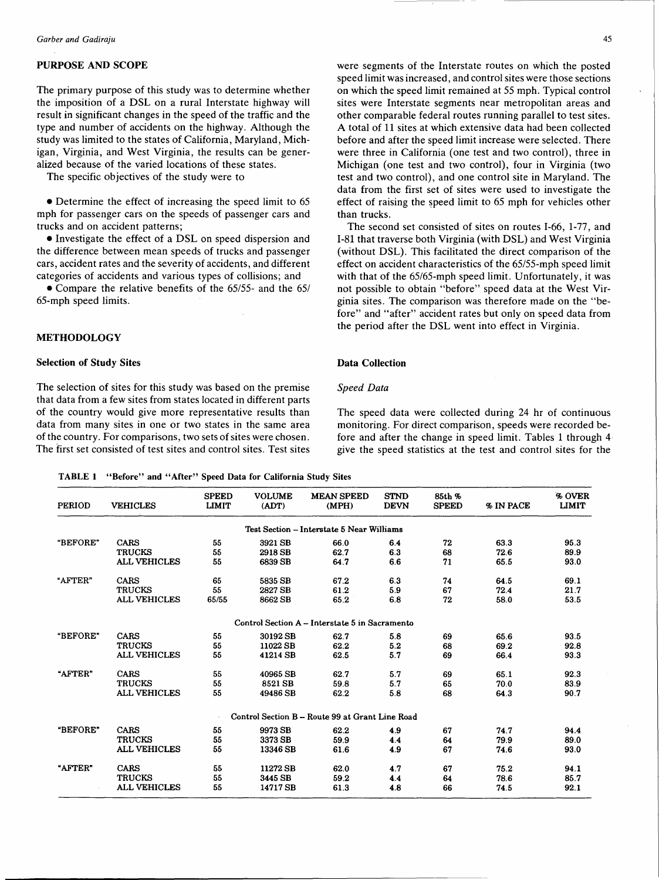# PURPOSE AND SCOPE

The primary purpose of this study was to determine whether the imposition of a DSL on a rural Interstate highway will result in significant changes in the speed of the traffic and the type and number of accidents on the highway. Although the study was limited to the states of California, Maryland, Michigan, Virginia, and West Virginia, the results can be generalized because of the varied locations of these states.

The specific objectives of the study were to

• Determine the effect of increasing the speed limit to 65 mph for passenger cars on the speeds of passenger cars and trucks and on accident patterns;

• Investigate the effect of a DSL on speed dispersion and the difference between mean speeds of trucks and passenger cars, accident rates and the severity of accidents, and different categories of accidents and various types of collisions; and

• Compare the relative benefits of the 65/55- and the 65/ 65-mph speed limits.

#### METHODOLOGY

#### Selection of Study Sites

The selection of sites for this study was based on the premise that data from a few sites from states located in different parts of the country would give more representative results than data from many sites in one or two states in the same area of the country. For comparisons, two sets of sites were chosen. The first set consisted of test sites and control sites. Test sites were segments of the Interstate routes on which the posted speed limit was increased, and control sites were those sections on which the speed limit remained at 55 mph. Typical control sites were Interstate segments near metropolitan areas and other comparable federal routes running parallel to test sites. A total of 11 sites at which extensive data had been collected before and after the speed limit increase were selected. There were three in California (one test and two control), three in Michigan (one test and two control), four in Virginia (two test and two control), and one control site in Maryland. The data from the first set of sites were used to investigate the effect of raising the speed limit to 65 mph for vehicles other than trucks.

The second set consisted of sites on routes I-66, 1-77, and I-81 that traverse both Virginia (with DSL) and West Virginia (without DSL). This facilitated the direct comparison of the effect on accident characteristics of the 65/55-mph speed limit with that of the 65/65-mph speed limit. Unfortunately, it was not possible to obtain "before" speed data at the West Virginia sites. The comparison was therefore made on the "before" and "after" accident rates but only on speed data from the period after the DSL went into effect in Virginia.

### Data Collection

#### *Speed Data*

The speed data were collected during 24 hr of continuous monitoring. For direct comparison, speeds were recorded before and after the change in speed limit. Tables 1 through 4 give the speed statistics at the test and control sites for the

|--|--|--|--|--|--|

| <b>PERIOD</b> | <b>VEHICLES</b>     | <b>SPEED</b><br><b>LIMIT</b> | <b>VOLUME</b><br>(ADT) | <b>MEAN SPEED</b><br>(MPH)                      | <b>STND</b><br><b>DEVN</b> | 85th %<br><b>SPEED</b> | % IN PACE | % OVER<br><b>LIMIT</b> |
|---------------|---------------------|------------------------------|------------------------|-------------------------------------------------|----------------------------|------------------------|-----------|------------------------|
|               |                     |                              |                        | Test Section - Interstate 5 Near Williams       |                            |                        |           |                        |
| "BEFORE"      | CARS                | 55                           | 3921 SB                | 66.0                                            | 6.4                        | 72                     | 63.3      | 95.3                   |
|               | <b>TRUCKS</b>       | 55                           | 2918 SB                | 62.7                                            | 6.3                        | 68                     | 72.6      | 89.9                   |
|               | <b>ALL VEHICLES</b> | 55                           | 6839 SB                | 64.7                                            | 6.6                        | 71                     | 65.5      | 93.0                   |
| "AFTER"       | CARS                | 65                           | 5835 SB                | 67.2                                            | 6.3                        | 74                     | 64.5      | 69.1                   |
|               | <b>TRUCKS</b>       | 55                           | 2827 SB                | 61.2                                            | 5.9                        | 67                     | 72.4      | 21.7                   |
|               | <b>ALL VEHICLES</b> | 65/55                        | 8662 SB                | 65.2                                            | 6.8                        | 72                     | 58.0      | 53.5                   |
|               |                     |                              |                        | Control Section A - Interstate 5 in Sacramento  |                            |                        |           |                        |
| "BEFORE"      | CARS                | 55                           | 30192 SB               | 62.7                                            | 5.8                        | 69                     | 65.6      | 93.5                   |
|               | <b>TRUCKS</b>       | 55                           | 11022 SB               | 62.2                                            | 5.2                        | 68                     | 69.2      | 92.8                   |
|               | <b>ALL VEHICLES</b> | 55                           | 41214 SB               | 62.5                                            | 5.7                        | 69                     | 66.4      | 93.3                   |
| "AFTER"       | CARS                | 55                           | 40965 SB               | 62.7                                            | 5.7                        | 69                     | 65.1      | 92.3                   |
|               | <b>TRUCKS</b>       | 55                           | 8521 SB                | 59.8                                            | 5.7                        | 65                     | 70.0      | 83.9                   |
|               | <b>ALL VEHICLES</b> | 55                           | 49486 SB               | 62.2                                            | 5.8                        | 68                     | 64.3      | 90.7                   |
|               |                     |                              |                        | Control Section B - Route 99 at Grant Line Road |                            |                        |           |                        |
| "BEFORE"      | CARS                | 55                           | 9973 SB                | 62.2                                            | 4.9                        | 67                     | 74.7      | 94.4                   |
|               | <b>TRUCKS</b>       | 55                           | 3373 SB                | 59.9                                            | 4.4                        | 64                     | 79.9      | 89.0                   |
|               | <b>ALL VEHICLES</b> | 55                           | 13346 SB               | 61.6                                            | 4.9                        | 67                     | 74.6      | 93.0                   |
| "AFTER"       | <b>CARS</b>         | 55                           | 11272 SB               | 62.0                                            | 4.7                        | 67                     | 75.2      | 94.1                   |
|               | <b>TRUCKS</b>       | 55                           | 3445 SB                | 59.2                                            | 4.4                        | 64                     | 78.6      | 85.7                   |
|               | <b>ALL VEHICLES</b> | 55                           | 14717 SB               | 61.3                                            | 4.8                        | 66                     | 74.5      | 92.1                   |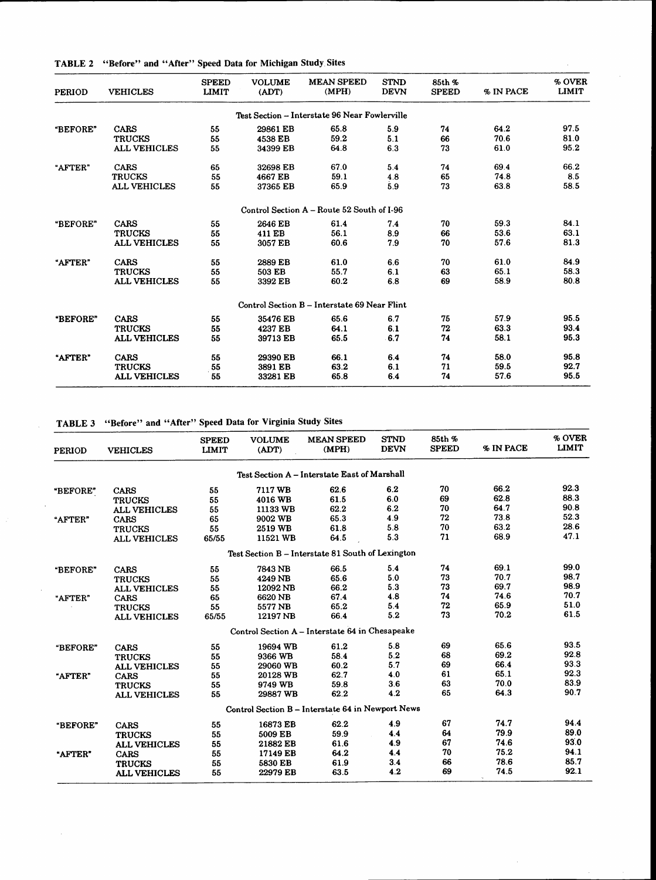TABLE 2 "Before" and "After" Speed Data for Michigan Study Sites

| <b>PERIOD</b> | <b>VEHICLES</b>     | <b>SPEED</b><br><b>LIMIT</b> | <b>VOLUME</b><br>(ADT) | <b>MEAN SPEED</b><br>(MPH)                    | <b>STND</b><br><b>DEVN</b> | 85th %<br><b>SPEED</b> | % IN PACE | % OVER<br><b>LIMIT</b> |
|---------------|---------------------|------------------------------|------------------------|-----------------------------------------------|----------------------------|------------------------|-----------|------------------------|
|               |                     |                              |                        | Test Section - Interstate 96 Near Fowlerville |                            |                        |           |                        |
| "BEFORE"      | <b>CARS</b>         | 55                           | 29861 EB               | 65.8                                          | 5.9                        | 74                     | 64.2      | 97.5                   |
|               | <b>TRUCKS</b>       | 55                           | 4538 EB                | 59.2                                          | 5.1                        | 66                     | 70.6      | 81.0                   |
|               | <b>ALL VEHICLES</b> | 55                           | 34399 EB               | 64.8                                          | 6.3                        | 73                     | 61.0      | 95.2                   |
| "AFTER"       | CARS                | 65                           | 32698 EB               | 67.0                                          | 5.4                        | 74                     | 69.4      | 66.2                   |
|               | <b>TRUCKS</b>       | 55                           | 4667 EB                | 59.1                                          | 4.8                        | 65                     | 74.8      | 8.5                    |
|               | <b>ALL VEHICLES</b> | 55                           | 37365 EB               | 65.9                                          | 59                         | 73                     | 63.8      | 58.5                   |
|               |                     |                              |                        | Control Section A – Route 52 South of I-96    |                            |                        |           |                        |
| "BEFORE"      | <b>CARS</b>         | 55                           | 2646 EB                | 61.4                                          | 7.4                        | 70                     | 59.3      | 84.1                   |
|               | <b>TRUCKS</b>       | 55                           | 411 EB                 | 56.1                                          | 8.9                        | 66                     | 53.6      | 63.1                   |
|               | <b>ALL VEHICLES</b> | 55                           | 3057 EB                | 60.6                                          | 7.9                        | 70                     | 57.6      | 81.3                   |
| "AFTER"       | <b>CARS</b>         | 55                           | 2889 EB                | 61.0                                          | 6.6                        | 70                     | 61.0      | 84.9                   |
|               | <b>TRUCKS</b>       | 55                           | 503 EB                 | 55.7                                          | 6.1                        | 63                     | 65.1      | 58.3                   |
|               | <b>ALL VEHICLES</b> | 55                           | 3392 EB                | 60.2                                          | 6.8                        | 69                     | 58.9      | 80.8                   |
|               |                     |                              |                        | Control Section B - Interstate 69 Near Flint  |                            |                        |           |                        |
| "BEFORE"      | <b>CARS</b>         | 55                           | 35476 EB               | 65.6                                          | 6.7                        | 75                     | 57.9      | 95.5                   |
|               | <b>TRUCKS</b>       | 55                           | 4237 EB                | 64.1                                          | 6.1                        | 72                     | 63.3      | 93.4                   |
|               | <b>ALL VEHICLES</b> | 55                           | 39713 EB               | 65.5                                          | 6.7                        | 74                     | 58.1      | 95.3                   |
| "AFTER"       | <b>CARS</b>         | 55                           | 29390 EB               | 66.1                                          | 6.4                        | 74                     | 58.0      | 95.8                   |
|               | <b>TRUCKS</b>       | 55                           | 3891 EB                | 63.2                                          | 6.1                        | 71                     | 59.5      | 92.7                   |
|               | <b>ALL VEHICLES</b> | 55                           | 33281 EB               | 65.8                                          | 6.4                        | 74                     | 57.6      | 95.5                   |

TABLE 3 "Before" and "After" Speed Data for Virginia Study Sites

 $\sim$ 

 $\hat{\boldsymbol{\beta}}$ 

| <b>PERIOD</b> | <b>VEHICLES</b>     | <b>SPEED</b><br><b>LIMIT</b> | <b>VOLUME</b><br>(ADT) | <b>MEAN SPEED</b><br>(MPH)                        | <b>STND</b><br><b>DEVN</b> | 85th %<br><b>SPEED</b> | % IN PACE | % OVER<br><b>LIMIT</b> |
|---------------|---------------------|------------------------------|------------------------|---------------------------------------------------|----------------------------|------------------------|-----------|------------------------|
|               |                     |                              |                        | Test Section A - Interstate East of Marshall      |                            |                        |           |                        |
| "BEFORE"      | CARS                | 55                           | 7117 WB                | 62.6                                              | 6.2                        | 70                     | 66.2      | 92.3                   |
|               | <b>TRUCKS</b>       | 55                           | 4016 WB                | 61.5                                              | 6.0                        | 69                     | 62.8      | 88.3                   |
|               | <b>ALL VEHICLES</b> | 55                           | 11133 WB               | 62.2                                              | 6.2                        | 70                     | 64.7      | 90.8                   |
| "AFTER"       | CARS                | 65                           | 9002 WB                | 65.3                                              | 4.9                        | 72                     | 73.8      | 52.3                   |
|               | <b>TRUCKS</b>       | 55                           | 2519 WB                | 61.8                                              | 5.8                        | 70                     | 63.2      | 28.6                   |
|               | <b>ALL VEHICLES</b> | 65/55                        | 11521 WB               | 64.5                                              | 5.3                        | 71                     | 68.9      | 47.1                   |
|               |                     |                              |                        | Test Section B - Interstate 81 South of Lexington |                            |                        |           |                        |
| "BEFORE"      | CARS                | 55                           | 7843 NB                | 66.5                                              | 5.4                        | 74                     | 69.1      | 99.0                   |
|               | <b>TRUCKS</b>       | 55                           | 4249 NB                | 65.6                                              | 5.0                        | 73                     | 70.7      | 98.7                   |
|               | <b>ALL VEHICLES</b> | 55                           | 12092 NB               | 66.2                                              | 5.3                        | 73                     | 69.7      | 98.9                   |
| "AFTER"       | CARS                | 65                           | 6620 NB                | 67.4                                              | 4.8                        | 74                     | 74.6      | 70.7                   |
|               | <b>TRUCKS</b>       | 55                           | 5577 NB                | 652                                               | 5.4                        | 72                     | 65.9      | 51.0                   |
|               | <b>ALL VEHICLES</b> | 65/55                        | 12197 NB               | 66.4                                              | 5.2                        | 73                     | 70.2      | 61.5                   |
|               |                     |                              |                        | Control Section A - Interstate 64 in Chesapeake   |                            |                        |           |                        |
| "BEFORE"      | <b>CARS</b>         | 55                           | 19694 WB               | 61.2                                              | 5.8                        | 69                     | 65.6      | 93.5                   |
|               | <b>TRUCKS</b>       | 55                           | 9366 WB                | 58.4                                              | 5.2                        | 68                     | 69.2      | 92.8                   |
|               | <b>ALL VEHICLES</b> | 55                           | 29060 WB               | 60.2                                              | 5.7                        | 69                     | 66.4      | 93.3                   |
| "AFTER"       | CARS                | 55                           | 20128 WB               | 62.7                                              | 4.0                        | 61                     | 65.1      | 92.3                   |
|               | <b>TRUCKS</b>       | 55                           | 9749 WB                | 59.8                                              | 3.6                        | 63                     | 70.0      | 83.9                   |
|               | <b>ALL VEHICLES</b> | 55                           | 29887 WB               | 62.2                                              | 4.2                        | 65                     | 64.3      | 90.7                   |
|               |                     |                              |                        | Control Section B - Interstate 64 in Newport News |                            |                        |           |                        |
| "BEFORE"      | <b>CARS</b>         | 55                           | 16873 EB               | 62.2                                              | 4.9                        | 67                     | 74.7      | 94.4                   |
|               | <b>TRUCKS</b>       | 55                           | 5009 EB                | 59.9                                              | 4.4                        | 64                     | 79.9      | 89.0                   |
|               | <b>ALL VEHICLES</b> | 55                           | 21882 EB               | 61.6                                              | 4.9                        | 67                     | 74.6      | 93.0                   |
| "AFTER"       | <b>CARS</b>         | 55                           | 17149 EB               | 64.2                                              | 4.4                        | 70                     | 75.2      | 94.1                   |
|               | <b>TRUCKS</b>       | 55                           | 5830 EB                | 61.9                                              | 3.4                        | 66                     | 78.6      | 85.7                   |
|               | <b>ALL VEHICLES</b> | 55                           | 22979 EB               | 63.5                                              | 4.2                        | 69                     | 74.5      | 92.1                   |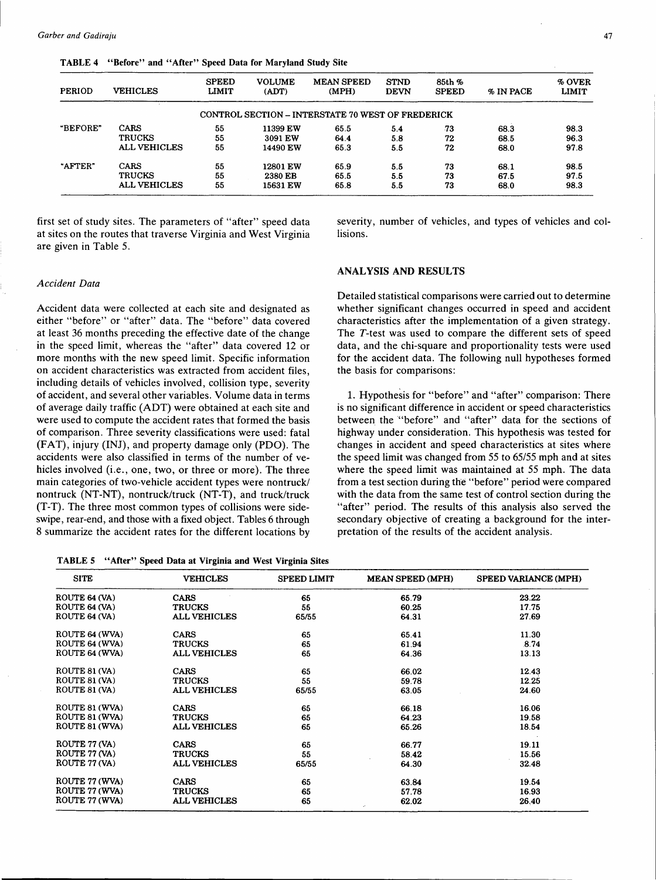TABLE 4 "Before" and "After" Speed Data for Maryland Study Site

| <b>PERIOD</b> | <b>VEHICLES</b>     | <b>SPEED</b><br><b>LIMIT</b> | <b>VOLUME</b><br>(ADT) | <b>MEAN SPEED</b><br>(MPH)                        | <b>STND</b><br><b>DEVN</b> | 85th %<br><b>SPEED</b> | % IN PACE | % OVER<br><b>LIMIT</b> |
|---------------|---------------------|------------------------------|------------------------|---------------------------------------------------|----------------------------|------------------------|-----------|------------------------|
|               |                     |                              |                        | CONTROL SECTION – INTERSTATE 70 WEST OF FREDERICK |                            |                        |           |                        |
| "BEFORE"      | CARS                | 55                           | 11399 EW               | 65.5                                              | 5.4                        | 73                     | 68.3      | 98.3                   |
|               | <b>TRUCKS</b>       | 55                           | 3091 EW                | 64.4                                              | 5.8                        | 72                     | 68.5      | 96.3                   |
|               | <b>ALL VEHICLES</b> | 55                           | 14490 EW               | 65.3                                              | 5.5                        | 72                     | 68.0      | 97.8                   |
| "AFTER"       | <b>CARS</b>         | 55                           | 12801 EW               | 65.9                                              | 5.5                        | 73                     | 68.1      | 98.5                   |
|               | <b>TRUCKS</b>       | 55                           | 2380 EB                | 65.5                                              | 5.5                        | 73                     | 67.5      | 97.5                   |
|               | <b>ALL VEHICLES</b> | 55                           | 15631 EW               | 65.8                                              | 5.5                        | 73                     | 68.0      | 98.3                   |

first set of study sites. The parameters of "after" speed data at sites on the routes that traverse Virginia and West Virginia are given in Table 5.

# *Accident Data*

Accident data were collected at each site and designated as either "before" or "after" data. The "before" data covered at least 36 months preceding the effective date of the change in the speed limit, whereas the "after" data covered 12 or more months with the new speed limit. Specific information on accident characteristics was extracted from accident files, including details of vehicles involved, collision type, severity of accident, and several other variables. Volume data in terms of average daily traffic (ADT) were obtained at each site and were used to compute the accident rates that formed the basis of comparison. Three severity classifications were used: fatal (FAT), injury (INJ), and property damage only (PDO). The accidents were also classified in terms of the number of vehicles involved (i.e., one, two, or three or more). The three main categories of two-vehicle accident types were nontruck/ nontruck (NT-NT), nontruck/truck (NT-T), and truck/truck (T-T). The three most common types of collisions were sideswipe, rear-end, and those with a fixed object. Tables 6 through 8 summarize the accident rates for the different locations by

TABLE 5 "After" Speed Data at Virginia and West Virginia Sites

severity, number of vehicles, and types of vehicles and collisions.

### ANALYSIS AND RESULTS

Detailed statistical comparisons were carried out to determine whether significant changes occurred in speed and accident characteristics after the implementation of a given strategy. The T-test was used to compare the different sets of speed data, and the chi-square and proportionality tests were used for the accident data. The following null hypotheses formed the basis for comparisons:

1. Hypothesis for "before" and "after" comparison: There is no significant difference in accident or speed characteristics between the "'before" and "after" data for the sections of highway under consideration. This hypothesis was tested for changes in accident and speed characteristics at sites where the speed limit was changed from 55 to *65155* mph and at sites where the speed limit was maintained at 55 mph. The data from a test section during the "before" period were compared with the data from the same test of control section during the "after" period. The results of this analysis also served the secondary objective of creating a background for the interpretation of the results of the accident analysis.

| <b>SITE</b>    | <b>VEHICLES</b>     | <b>SPEED LIMIT</b> | <b>MEAN SPEED (MPH)</b> | SPEED VARIANCE (MPH) |
|----------------|---------------------|--------------------|-------------------------|----------------------|
| ROUTE 64 (VA)  | <b>CARS</b>         | 65                 | 65.79                   | 23.22                |
| ROUTE 64 (VA)  | <b>TRUCKS</b>       | 55                 | 60.25                   | 17.75                |
| ROUTE 64 (VA)  | <b>ALL VEHICLES</b> | 65/55              | 64.31                   | 27.69                |
| ROUTE 64 (WVA) | <b>CARS</b>         | 65                 | 65.41                   | 11.30                |
| ROUTE 64 (WVA) | <b>TRUCKS</b>       | 65                 | 61.94                   | 8.74                 |
| ROUTE 64 (WVA) | <b>ALL VEHICLES</b> | 65                 | 64.36                   | 13.13                |
| ROUTE 81 (VA)  | CARS                | 65                 | 66.02                   | 12.43                |
| ROUTE 81 (VA)  | <b>TRUCKS</b>       | 55                 | 59.78                   | 12.25                |
| ROUTE 81 (VA)  | <b>ALL VEHICLES</b> | 65/55              | 63.05                   | 24.60                |
| ROUTE 81 (WVA) | <b>CARS</b>         | 65                 | 66.18                   | 16.06                |
| ROUTE 81 (WVA) | <b>TRUCKS</b>       | 65                 | 64.23                   | 19.58                |
| ROUTE 81 (WVA) | <b>ALL VEHICLES</b> | 65                 | 65.26                   | 18.54                |
| ROUTE 77 (VA)  | <b>CARS</b>         | 65                 | 66.77                   | 19.11                |
| ROUTE 77 (VA)  | <b>TRUCKS</b>       | 55                 | 58.42                   | 15.56                |
| ROUTE 77 (VA)  | <b>ALL VEHICLES</b> | 65/55              | 64.30                   | 32.48                |
| ROUTE 77 (WVA) | <b>CARS</b>         | 65                 | 63.84                   | 19.54                |
| ROUTE 77 (WVA) | <b>TRUCKS</b>       | 65                 | 57.78                   | 16.93                |
| ROUTE 77 (WVA) | <b>ALL VEHICLES</b> | 65                 | 62.02<br>$\cdot$        | 26.40                |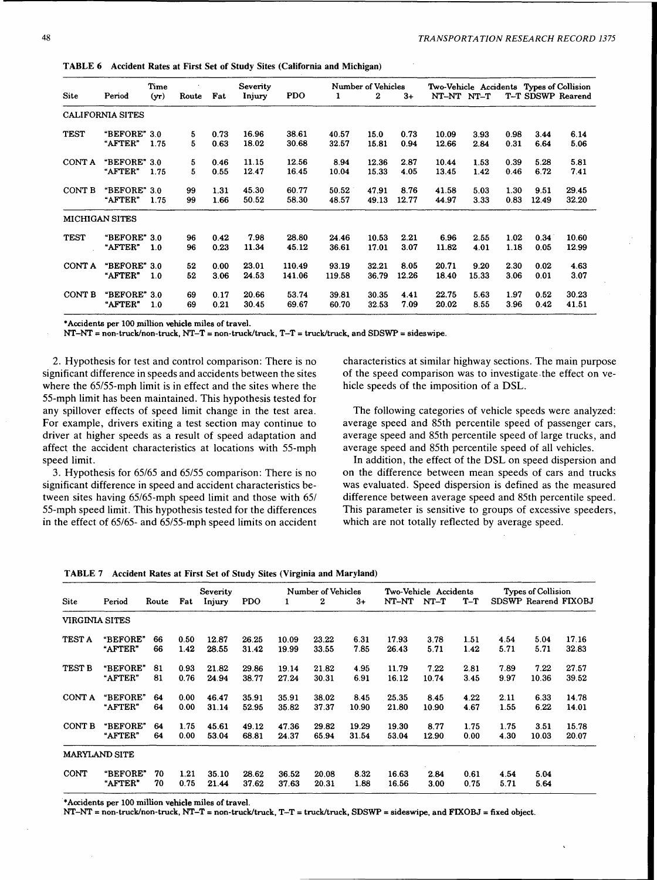TABLE 6 Accident Rates at First Set of Study Sites (California and Michigan)

|               |                         | Time    |       |      | Severity |            |        | <b>Number of Vehicles</b> |       |            |       |      |       | Two-Vehicle Accidents Types of Collision |
|---------------|-------------------------|---------|-------|------|----------|------------|--------|---------------------------|-------|------------|-------|------|-------|------------------------------------------|
| Site          | Period                  | $(y_T)$ | Route | Fat  | Injury   | <b>PDO</b> | 1      | 2                         | $3+$  | NT-NT NT-T |       |      |       | T-T SDSWP Rearend                        |
|               | <b>CALIFORNIA SITES</b> |         |       |      |          |            |        |                           |       |            |       |      |       |                                          |
| <b>TEST</b>   | "BEFORE" 3.0            |         | 5     | 0.73 | 16.96    | 38.61      | 40.57  | 15.0                      | 0.73  | 10.09      | 3.93  | 0.98 | 3.44  | 6.14                                     |
|               | "AFTER"                 | 1.75    | 5     | 0.63 | 18.02    | 30.68      | 32.57  | 15.81                     | 0.94  | 12.66      | 2.84  | 0.31 | 6.64  | 5.06                                     |
| CONT A        | "BEFORE" 3.0            |         | 5     | 0.46 | 11.15    | 12.56      | 8.94   | 12.36                     | 2.87  | 10.44      | 1.53  | 0.39 | 5.28  | 5.81                                     |
|               | "AFTER"                 | 1.75    | 5     | 0.55 | 12.47    | 16.45      | 10.04  | 15.33                     | 4.05  | 13.45      | 1.42  | 0.46 | 6.72  | 7.41                                     |
| CONT B        | "BEFORE" 3.0            |         | 99    | 1.31 | 45.30    | 60.77      | 50.52  | 47.91                     | 8.76  | 41.58      | 5.03  | 1.30 | 9.51  | 29.45                                    |
|               | "AFTER"                 | 1.75    | 99    | 1.66 | 50.52    | 58.30      | 48.57  | 49.13                     | 12.77 | 44.97      | 3.33  | 0.83 | 12.49 | 32.20                                    |
|               | <b>MICHIGAN SITES</b>   |         |       |      |          |            |        |                           |       |            |       |      |       |                                          |
| <b>TEST</b>   | "BEFORE" 3.0            |         | 96    | 0.42 | 7.98     | 28.80      | 24.46  | 10.53                     | 2.21  | 6.96       | 2.55  | 1.02 | 0.34  | 10.60                                    |
|               | "AFTER"                 | 1.0     | 96    | 0.23 | 11.34    | 45.12      | 36.61  | 17.01                     | 3.07  | 11.82      | 4.01  | 1.18 | 0.05  | 12.99                                    |
| CONT A        | "BEFORE" 3.0            |         | 52    | 0.00 | 23.01    | 110.49     | 93.19  | 32.21                     | 8.05  | 20.71      | 9.20  | 2.30 | 0.02  | 4.63                                     |
|               | "AFTER"                 | 1.0     | 52    | 3.06 | 24.53    | 141.06     | 119.58 | 36.79                     | 12.26 | 18.40      | 15.33 | 3.06 | 0.01  | 3.07                                     |
| <b>CONT B</b> | "BEFORE" 3.0            |         | 69    | 0.17 | 20.66    | 53.74      | 39.81  | 30.35                     | 4.41  | 22.75      | 5.63  | 1.97 | 0.52  | 30.23                                    |
|               | "AFTER"                 | 1.0     | 69    | 0.21 | 30.45    | 69.67      | 60.70  | 32.53                     | 7.09  | 20.02      | 8.55  | 3.96 | 0.42  | 41.51                                    |

•Accidents per 100 million vehicle miles of travel.

 $NT-NT = non-truck/non-truck, NT-T = non-truck/truck, T-T = truck/truck, and SDSWP = sideswipe.$ 

2. Hypothesis for test and control comparison: There is no significant difference in speeds and accidents between the sites where the 65/55-mph limit is in effect and the sites where the 55-mph limit has been maintained. This hypothesis tested for any spillover effects of speed limit change in the test area. For example, drivers exiting a test section may continue to driver at higher speeds as a result of speed adaptation and affect the accident characteristics at locations with 55-mph speed limit.

3. Hypothesis for 65/65 and 65/55 comparison: There is no significant difference in speed and accident characteristics between sites having 65/65-mph speed limit and those with 65/ 55-mph speed limit. This hypothesis tested for the differences in the effect of 65/65- and 65/55-mph speed limits on accident

characteristics at similar highway sections. The main purpose of the speed comparison was to investigate. the effect on vehicle speeds of the imposition of a DSL.

The following categories of vehicle speeds were analyzed: average speed and 85th percentile speed of passenger cars, average speed and 85th percentile speed of large trucks, and average speed and 85th percentile speed of all vehicles.

In addition, the effect of the DSL on speed dispersion and on the difference between mean speeds of cars and trucks was evaluated. Speed dispersion is defined as the measured difference between average speed and 85th percentile speed. This parameter is sensitive to groups of excessive speeders, which are not totally reflected by average speed.

TABLE 7 Accident Rates at First Set of Study Sites (Virginia and Maryland)

|                |                      |       |      | Severity |            |       | Number of Vehicles |       |       | Two-Vehicle Accidents |       |      | Types of Collision |                      |
|----------------|----------------------|-------|------|----------|------------|-------|--------------------|-------|-------|-----------------------|-------|------|--------------------|----------------------|
| Site           | Period               | Route | Fat  | Injury   | <b>PDO</b> | 1     | $\bf{2}$           | $3+$  | NT-NT | $NT-T$                | $T-T$ |      |                    | SDSWP Rearend FIXOBJ |
| VIRGINIA SITES |                      |       |      |          |            |       |                    |       |       |                       |       |      |                    |                      |
| <b>TEST A</b>  | "BEFORE"             | 66    | 0.50 | 12.87    | 26.25      | 10.09 | 23.22              | 6.31  | 17.93 | 3.78                  | 1.51  | 4.54 | 5.04               | 17.16                |
|                | "AFTER"              | 66    | 1.42 | 28.55    | 31.42      | 19.99 | 33.55              | 7.85  | 26.43 | 5.71                  | 1.42  | 5.71 | 5.71               | 32.83                |
| <b>TEST B</b>  | "BEFORE"             | 81    | 0.93 | 21.82    | 29.86      | 19.14 | 21.82              | 4.95  | 11.79 | 7.22                  | 2.81  | 7.89 | 7.22               | 27.57                |
|                | "AFTER"              | 81    | 0.76 | 24.94    | 38.77      | 27.24 | 30.31              | 6.91  | 16.12 | 10.74                 | 3.45  | 9.97 | 10.36              | 39.52                |
| CONT A         | "BEFORE"             | 64    | 0.00 | 46.47    | 35.91      | 35.91 | 38.02              | 8.45  | 25.35 | 8.45                  | 4.22  | 2.11 | 6.33               | 14.78                |
|                | <b>"AFTER"</b>       | 64    | 0.00 | 31.14    | 52.95      | 35.82 | 37.37              | 10.90 | 21.80 | 10.90                 | 4.67  | 1.55 | 6.22               | 14.01                |
| CONT B         | "BEFORE"             | 64    | 1.75 | 45.61    | 49.12      | 47.36 | 29.82              | 19.29 | 19.30 | 8.77                  | 1.75  | 1.75 | 3.51               | 15.78                |
|                | "AFTER"              | 64    | 0.00 | 53.04    | 68.81      | 24.37 | 65.94              | 31.54 | 53.04 | 12.90                 | 0.00  | 4.30 | 10.03              | 20.07                |
|                | <b>MARYLAND SITE</b> |       |      |          |            |       |                    |       |       |                       |       |      |                    |                      |
| <b>CONT</b>    | <b>"BEFORE"</b>      | 70    | 1.21 | 35.10    | 28.62      | 36.52 | 20.08              | 8.32  | 16.63 | 2.84                  | 0.61  | 4.54 | 5.04               |                      |
|                | "AFTER"              | 70    | 0.75 | 21.44    | 37.62      | 37.63 | 20.31              | 1.88  | 16.56 | 3.00                  | 0.75  | 5.71 | 5.64               |                      |

\*Accidents per 100 million vehicle miles of travel.

NT-NT = non-truck/non-truck, NT-T = non-truck/truck, T-T = truck/truck, SDSWP = sideswipe, and FIXOBJ = fixed object.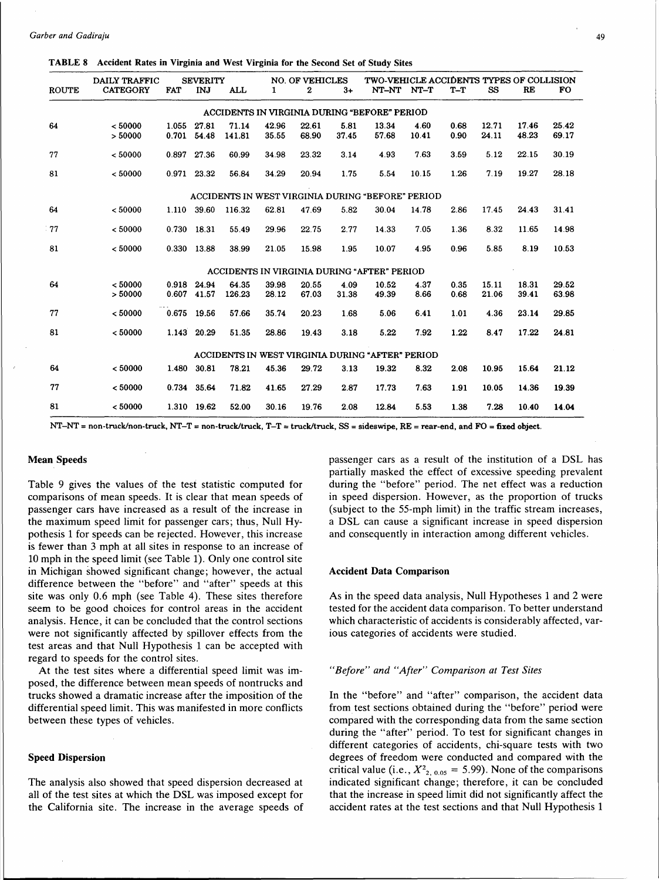|              | DAILY TRAFFIC   |            | <b>SEVERITY</b> |            |       | <b>NO. OF VEHICLES</b> |       | TWO-VEHICLE ACCIDENTS TYPES OF COLLISION            |       |       |       |       |           |
|--------------|-----------------|------------|-----------------|------------|-------|------------------------|-------|-----------------------------------------------------|-------|-------|-------|-------|-----------|
| <b>ROUTE</b> | <b>CATEGORY</b> | <b>FAT</b> | INJ             | <b>ALL</b> | 1     | 2                      | $3+$  | NT-NT                                               | NT-T  | $T-T$ | SS    | RE    | <b>FO</b> |
|              |                 |            |                 |            |       |                        |       | <b>ACCIDENTS IN VIRGINIA DURING "BEFORE" PERIOD</b> |       |       |       |       |           |
| 64           | < 50000         | 1.055      | 27.81           | 71.14      | 42.96 | 22.61                  | 5.81  | 13.34                                               | 4.60  | 0.68  | 12.71 | 17.46 | 25.42     |
|              | > 50000         | 0.701      | 54.48           | 141.81     | 35.55 | 68.90                  | 37.45 | 57.68                                               | 10.41 | 0.90  | 24.11 | 48.23 | 69.17     |
| 77           | < 50000         | 0.897      | 27.36           | 60.99      | 34.98 | 23.32                  | 3.14  | 4.93                                                | 7.63  | 3.59  | 5.12  | 22.15 | 30.19     |
| 81           | < 50000         |            | 0.971 23.32     | 56.84      | 34.29 | 20.94                  | 1.75  | 5.54                                                | 10.15 | 1.26  | 7.19  | 19.27 | 28.18     |
|              |                 |            |                 |            |       |                        |       | ACCIDENTS IN WEST VIRGINIA DURING "BEFORE" PERIOD   |       |       |       |       |           |
| 64           | < 50000         | 1.110      | 39.60           | 116.32     | 62.81 | 47.69                  | 5.82  | 30.04                                               | 14.78 | 2.86  | 17.45 | 24.43 | 31.41     |
| 77           | < 50000         | 0.730      | 18.31           | 55.49      | 29.96 | 22.75                  | 2.77  | 14.33                                               | 7.05  | 1.36  | 8.32  | 11.65 | 14.98     |
| 81           | < 50000         |            | 0.330 13.88     | 38.99      | 21.05 | 15.98                  | 1.95  | 10.07                                               | 4.95  | 0.96  | 5.85  | 8.19  | 10.53     |
|              |                 |            |                 |            |       |                        |       | ACCIDENTS IN VIRGINIA DURING "AFTER" PERIOD         |       |       |       |       |           |
| 64           | < 50000         | 0.918      | 24.94           | 64.35      | 39.98 | 20.55                  | 4.09  | 10.52                                               | 4.37  | 0.35  | 15.11 | 18.31 | 29.52     |
|              | > 50000         | 0.607      | 41.57           | 126.23     | 28.12 | 67.03                  | 31.38 | 49.39                                               | 8.66  | 0.68  | 21.06 | 39.41 | 63.98     |
| 77           | < 50000         | 0.675      | 19.56           | 57.66      | 35.74 | 20.23                  | 1.68  | 5.06                                                | 6.41  | 1.01  | 4.36  | 23.14 | 29.85     |
| 81           | < 50000         | 1.143      | 20.29           | 51.35      | 28.86 | 19.43                  | 3.18  | 5.22                                                | 7.92  | 1.22  | 8.47  | 17.22 | 24.81     |
|              |                 |            |                 |            |       |                        |       | ACCIDENTS IN WEST VIRGINIA DURING "AFTER" PERIOD    |       |       |       |       |           |
| 64           | < 50000         | 1.480      | 30.81           | 78.21      | 45.36 | 29.72                  | 3.13  | 19.32                                               | 8.32  | 2.08  | 10.95 | 15.64 | 21.12     |
| 77           | < 50000         |            | 0.734 35.64     | 71.82      | 41.65 | 27.29                  | 2.87  | 17.73                                               | 7.63  | 1.91  | 10.05 | 14.36 | 19.39     |
| 81           | < 50000         |            | 1.310 19.62     | 52.00      | 30.16 | 19.76                  | 2.08  | 12.84                                               | 5.53  | 1.38  | 7.28  | 10.40 | 14.04     |

NT-NT = non-truck/non-truck, NT-T = non-truck/truck, T-T = truck/truck, SS = sideswipe, RE = rear-end, and FO = fixed object.

#### Mean Speeds

Table 9 gives the values of the test statistic computed for comparisons of mean speeds. It is clear that mean speeds of passenger cars have increased as a result of the increase in the maximum speed limit for passenger cars; thus, Null Hypothesis 1 for speeds can be rejected. However, this increase is fewer than 3 mph at all sites in response to an increase of 10 mph in the speed limit (see Table 1). Only one control site in Michigan showed significant change; however, the actual difference between the "before" and "after" speeds at this site was only 0.6 mph (see Table 4). These sites therefore seem to be good choices for control areas in the accident analysis. Hence, it can be concluded that the control sections were not significantly affected by spillover effects from the test areas and that Null Hypothesis 1 can be accepted with regard to speeds for the control sites.

At the test sites where a differential speed limit was imposed, the difference between mean speeds of nontrucks and trucks showed a dramatic increase after the imposition of the differential speed limit. This was manifested in more conflicts between these types of vehicles.

#### Speed Dispersion

The analysis also showed that speed dispersion decreased at all of the test sites at which the DSL was imposed except for the California site. The increase in the average speeds of passenger cars as a result of the institution of a DSL has partially masked the effect of excessive speeding prevalent during the "before" period. The net effect was a reduction in speed dispersion. However, as the proportion of trucks (subject to the 55-mph limit) in the traffic stream increases, a DSL can cause a significant increase in speed dispersion and consequently in interaction among different vehicles.

#### Accident Data Comparison

As in the speed data analysis, Null Hypotheses 1 and 2 were tested for the accident data comparison. To better understand which characteristic of accidents is considerably affected, various categories of accidents were studied.

#### *"Before" and "After" Comparison at Test Sites*

In the "before" and "after" comparison, the accident data from test sections obtained during the "before" period were compared with the corresponding data from the same section during the "after" period. To test for significant changes in different categories of accidents, chi-square tests with two degrees of freedom were conducted and compared with the critical value (i.e.,  $X^2_{2, 0.05} = 5.99$ ). None of the comparisons indicated significant change; therefore, it can be concluded that the increase in speed limit did not significantly affect the accident rates at the test sections and that Null Hypothesis 1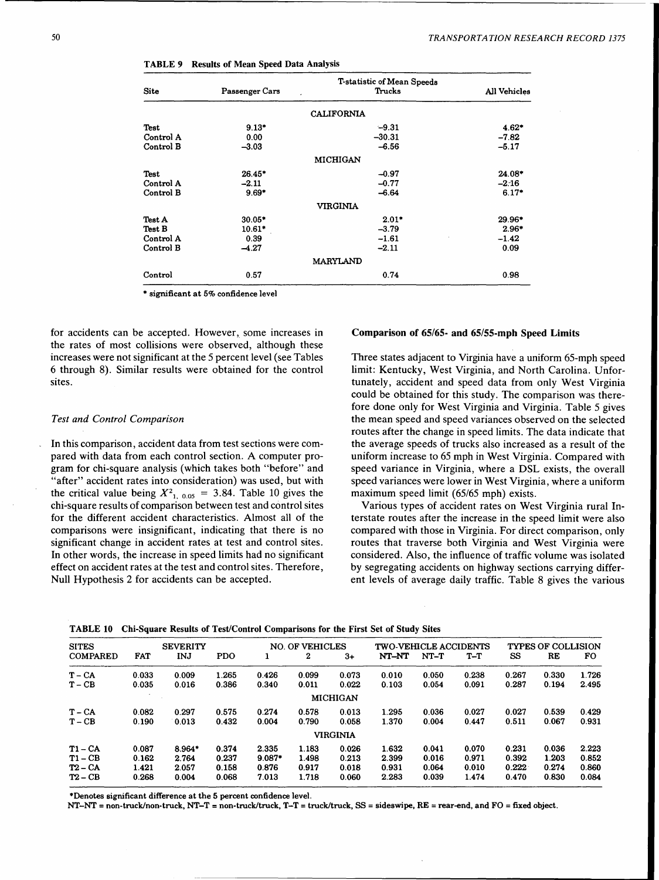| <b>Site</b> | Passenger Cars | <b>T-statistic of Mean Speeds</b><br>Trucks | All Vehicles |
|-------------|----------------|---------------------------------------------|--------------|
|             |                | <b>CALIFORNIA</b>                           |              |
| Test        | $9.13*$        | $-9.31$                                     | $4.62*$      |
| Control A   | 0.00           | $-30.31$                                    | $-7.82$      |
| Control B   | $-3.03$        | $-6.56$                                     | $-5.17$      |
|             |                | <b>MICHIGAN</b>                             |              |
| Test        | 26.45*         | $-0.97$                                     | 24.08*       |
| Control A   | $-2.11$        | $-0.77$                                     | $-2.16$      |
| Control B   | $9.69*$        | $-6.64$                                     | $6.17*$      |
|             |                | <b>VIRGINIA</b>                             |              |
| Test A      | $30.05*$       | $2.01*$                                     | 29.96*       |
| Test B      | $10.61*$       | $-3.79$                                     | $2.96*$      |
| Control A   | 0.39           | $-1.61$                                     | $-1.42$      |
| Control B   | $-4.27$        | $-2.11$                                     | 0.09         |
|             |                | <b>MARYLAND</b>                             |              |
| Control     | 0.57           | 0.74                                        | 0.98         |

TABLE 9 Results of Mean Speed Data Analysis

\* significant at 5% confidence level

for accidents can be accepted. However, some increases in the rates of most collisions were observed, although these increases were not significant at the 5 percent level (see Tables 6 through 8). Similar results were obtained for the control sites.

#### *Test and Control Comparison*

In this comparison, accident data from test sections were compared with data from each control section. A computer program for chi-square analysis (which takes both "before" and "after" accident rates into consideration) was used, but with the critical value being  $X^2_{1, 0.05} = 3.84$ . Table 10 gives the chi-square results of comparison between test and control sites for the different accident characteristics. Almost all of the comparisons were insignificant, indicating that there is no significant change in accident rates at test and control sites. In other words, the increase in speed limits had no significant effect on accident rates at the test and control sites. Therefore, Null Hypothesis 2 for accidents can be accepted.

#### Comparison of 65/65- and 65/55-mph Speed Limits

Three states adjacent to Virginia have a uniform 65-mph speed limit: Kentucky, West Virginia, and North Carolina. Unfortunately, accident and speed data from only West Virginia could be obtained for this study. The comparison was therefore done only for West Virginia and Virginia. Table 5 gives the mean speed and speed variances observed on the selected routes after the change in speed limits. The data indicate that the average speeds of trucks also increased as a result of the uniform increase to 65 mph in West Virginia. Compared with speed variance in Virginia, where a DSL exists, the overall speed variances were lower in West Virginia, where a uniform maximum speed limit (65/65 mph) exists.

Various types of accident rates on West Virginia rural Interstate routes after the increase in the speed limit were also compared with those in Virginia. For direct comparison, only routes that traverse both Virginia and West Virginia were considered. Also, the influence of traffic volume was isolated by segregating accidents on highway sections carrying different levels of average daily traffic. Table 8 gives the various

|  |  |  |  | TABLE 10 Chi-Square Results of Test/Control Comparisons for the First Set of Study Sites |  |  |  |  |
|--|--|--|--|------------------------------------------------------------------------------------------|--|--|--|--|
|--|--|--|--|------------------------------------------------------------------------------------------|--|--|--|--|

| <b>SITES</b>    | <b>SEVERITY</b> |          |            | <b>NO. OF VEHICLES</b> |       |                 | <b>TWO-VEHICLE ACCIDENTS</b> |        |       | <b>TYPES OF COLLISION</b> |       |       |
|-----------------|-----------------|----------|------------|------------------------|-------|-----------------|------------------------------|--------|-------|---------------------------|-------|-------|
| <b>COMPARED</b> | FAT             | INJ      | <b>PDO</b> |                        | 2     | $3+$            | NT-NT                        | $NT-T$ | $T-T$ | SS                        | RE    | FO.   |
| $T - CA$        | 0.033           | 0.009    | 1.265      | 0.426                  | 0.099 | 0.073           | 0.010                        | 0.050  | 0.238 | 0.267                     | 0.330 | 1.726 |
| $T - CB$        | 0.035           | 0.016    | 0.386      | 0.340                  | 0.011 | 0.022           | 0.103                        | 0.054  | 0.091 | 0.287                     | 0.194 | 2.495 |
|                 |                 |          |            |                        |       | <b>MICHIGAN</b> |                              |        |       |                           |       |       |
| $T - CA$        | 0.082           | 0.297    | 0.575      | 0.274                  | 0.578 | 0.013           | 1.295                        | 0.036  | 0.027 | 0.027                     | 0.539 | 0.429 |
| $T - CB$        | 0.190           | 0.013    | 0.432      | 0.004                  | 0.790 | 0.058           | 1.370                        | 0.004  | 0.447 | 0.511                     | 0.067 | 0.931 |
|                 |                 |          |            |                        |       | <b>VIRGINIA</b> |                              |        |       |                           |       |       |
| $T1 - CA$       | 0.087           | $8.964*$ | 0.374      | 2.335                  | 1.183 | 0.026           | 1.632                        | 0.041  | 0.070 | 0.231                     | 0.036 | 2.223 |
| $T1 - CB$       | 0.162           | 2.764    | 0.237      | $9.087*$               | 1.498 | 0.213           | 2.399                        | 0.016  | 0.971 | 0.392                     | 1.203 | 0.852 |
| $T2 - CA$       | 1.421           | 2.057    | 0.158      | 0.876                  | 0.917 | 0.018           | 0.931                        | 0.064  | 0.010 | 0.222                     | 0.274 | 0.860 |
| T2 – CB         | 0.268           | 0.004    | 0.068      | 7.013                  | 1.718 | 0.060           | 2.283                        | 0.039  | 1.474 | 0.470                     | 0.830 | 0.084 |

\*Denotes significant difference at the 5 percent confidence level.

 $NT-NT =$  non-truck/non-truck,  $NT-T =$  non-truck/truck,  $T-T =$  truck/truck,  $SS =$  sideswipe,  $RE =$  rear-end, and  $FO =$  fixed object.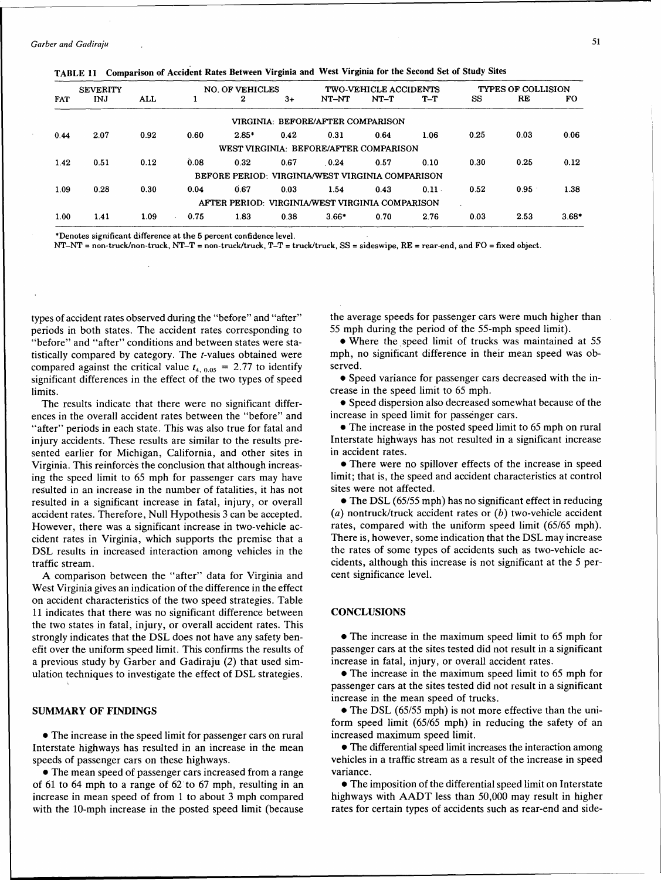*Garber and Gadiraju* 51

|  |  | TABLE 11 Comparison of Accident Rates Between Virginia and West Virginia for the Second Set of Study Sites |  |  |  |  |  |  |  |
|--|--|------------------------------------------------------------------------------------------------------------|--|--|--|--|--|--|--|
|--|--|------------------------------------------------------------------------------------------------------------|--|--|--|--|--|--|--|

|            | <b>SEVERITY</b> |      | NO. OF VEHICLES |          |      | <b>TWO-VEHICLE ACCIDENTS</b>                     |        |          | <b>TYPES OF COLLISION</b> |      |         |
|------------|-----------------|------|-----------------|----------|------|--------------------------------------------------|--------|----------|---------------------------|------|---------|
| <b>FAT</b> | INJ             | ALL  |                 | $\bf{2}$ | $3+$ | NT-NT                                            | $NT-T$ | $T-T$    | SS                        | RE   | FO.     |
|            |                 |      |                 |          |      | VIRGINIA: BEFORE/AFTER COMPARISON                |        |          |                           |      |         |
| 0.44       | 2.07            | 0.92 | 0.60            | $2.85*$  | 0.42 | 0.31                                             | 0.64   | 1.06     | 0.25                      | 0.03 | 0.06    |
|            |                 |      |                 |          |      | WEST VIRGINIA: BEFORE/AFTER COMPARISON           |        |          |                           |      |         |
| 1.42       | 0.51            | 0.12 | 0.08            | 0.32     | 0.67 | 0.24                                             | 0.57   | 0.10     | 0.30                      | 0.25 | 0.12    |
|            |                 |      |                 |          |      | BEFORE PERIOD: VIRGINIA/WEST VIRGINIA COMPARISON |        |          |                           |      |         |
| 1.09       | 0.28            | 0.30 | 0.04            | 0.67     | 0.03 | 1.54                                             | 0.43   | $0.11 -$ | 0.52                      | 0.95 | 1.38    |
|            |                 |      |                 |          |      | AFTER PERIOD: VIRGINIA/WEST VIRGINIA COMPARISON  |        |          |                           |      |         |
| 1.00       | 1.41            | 1.09 | 0.75            | 1.83     | 0.38 | $3.66*$                                          | 0.70   | 2.76     | 0.03                      | 2.53 | $3.68*$ |

\*Denotes significant difference at the 5 percent confidence level.

NT-NT = non-truck/non-truck, NT-T = non-truck/truck, T-T = truck/truck, SS = sideswipe, RE = rear-end, and FO = fixed object.

types of accident rates observed during the "before" and "after" periods in both states. The accident rates corresponding to "before" and "after" conditions and between states were statistically compared by category. The t-values obtained were compared against the critical value  $t_{4, 0.05} = 2.77$  to identify significant differences in the effect of the two types of speed limits.

The results indicate that there were no significant differences in the overall accident rates between the "before" and "after" periods in each state. This was also true for fatal and injury accidents. These results are similar to the results presented earlier for Michigan, California, and other sites in Virginia. This reinforces the conclusion that although increasing the speed limit to 65 mph for passenger cars may have resulted in an increase in the number of fatalities, it has not resulted in a significant increase in fatal, injury, or overall accident rates. Therefore, Null Hypothesis 3 can be accepted. However, there was a significant increase in two-vehicle accident rates in Virginia, which supports the premise that a DSL results in increased interaction among vehicles in the traffic stream.

A comparison between the "after" data for Virginia and West Virginia gives an indication of the difference in the effect on accident characteristics of the two speed strategies. Table 11 indicates that there was no significant difference between the two states in fatal, injury, or overall accident rates. This strongly indicates that the DSL does not have any safety benefit over the uniform speed limit. This confirms the results of a previous study by Garber and Gadiraju (2) that used simulation techniques to investigate the effect of DSL strategies.

## SUMMARY OF FINDINGS

• The increase in the speed limit for passenger cars on rural Interstate highways has resulted in an increase in the mean speeds of passenger cars on these highways.

• The mean speed of passenger cars increased from a range of 61 to 64 mph to a range of 62 to 67 mph, resulting in an increase in mean speed of from 1 to about 3 mph compared with the 10-mph increase in the posted speed limit (because the average speeds for passenger cars were much higher than 55 mph during the period of the 55-mph speed limit).

• Where the. speed limit of trucks was maintained at 55 mph, no significant difference in their mean speed was observed.

• Speed variance for passenger cars decreased with the increase in the speed limit to 65 mph.

• Speed dispersion also decreased somewhat because of the increase in speed limit for passenger cars.

• The increase in the posted speed limit to 65 mph on rural Interstate highways has not resulted in a significant increase in accident rates.

• There were no spillover effects of the increase in speed limit; that is, the speed and accident characteristics at control sites were not affected.

• The DSL (65/55 mph) has no significant effect in reducing (a) nontruck/truck accident rates or  $(b)$  two-vehicle accident rates, compared with the uniform speed limit (65/65 mph). There is, however, some indication that the DSL may increase the rates of some types of accidents such as two-vehicle accidents, although this increase is not significant at the 5 percent significance level.

#### **CONCLUSIONS**

• The increase in the maximum speed limit to 65 mph for passenger cars at the sites tested did not result in a significant increase in fatal, injury, or overall accident rates.

• The increase in the maximum speed limit to 65 mph for passenger cars at the sites tested did not result in a significant increase in the mean speed of trucks.

• The DSL (65/55 mph) is not more effective than the uniform speed limit (65/65 mph) in reducing the safety of an increased maximum speed limit.

• The differential speed limit increases the interaction among vehicles in a traffic stream as a result of the increase in speed variance.

• The imposition of the differential speed limit on Interstate highways with AADT less than 50,000 may result in higher rates for certain types of accidents such as rear-end and side